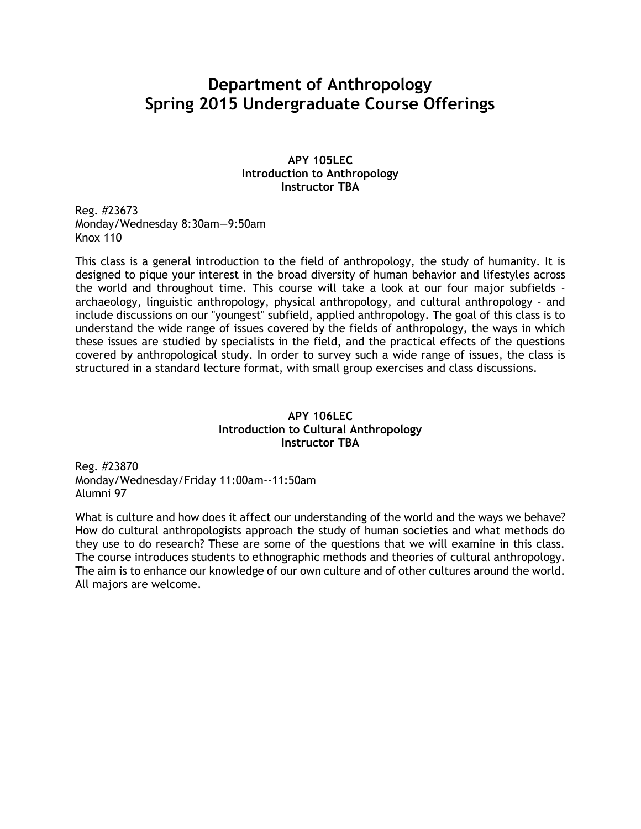# **Department of Anthropology Spring 2015 Undergraduate Course Offerings**

#### **APY 105LEC Introduction to Anthropology Instructor TBA**

Reg. #23673 Monday/Wednesday 8:30am—9:50am Knox 110

This class is a general introduction to the field of anthropology, the study of humanity. It is designed to pique your interest in the broad diversity of human behavior and lifestyles across the world and throughout time. This course will take a look at our four major subfields archaeology, linguistic anthropology, physical anthropology, and cultural anthropology - and include discussions on our "youngest" subfield, applied anthropology. The goal of this class is to understand the wide range of issues covered by the fields of anthropology, the ways in which these issues are studied by specialists in the field, and the practical effects of the questions covered by anthropological study. In order to survey such a wide range of issues, the class is structured in a standard lecture format, with small group exercises and class discussions.

## **APY 106LEC Introduction to Cultural Anthropology Instructor TBA**

Reg. #23870 Monday/Wednesday/Friday 11:00am--11:50am Alumni 97

What is culture and how does it affect our understanding of the world and the ways we behave? How do cultural anthropologists approach the study of human societies and what methods do they use to do research? These are some of the questions that we will examine in this class. The course introduces students to ethnographic methods and theories of cultural anthropology. The aim is to enhance our knowledge of our own culture and of other cultures around the world. All majors are welcome.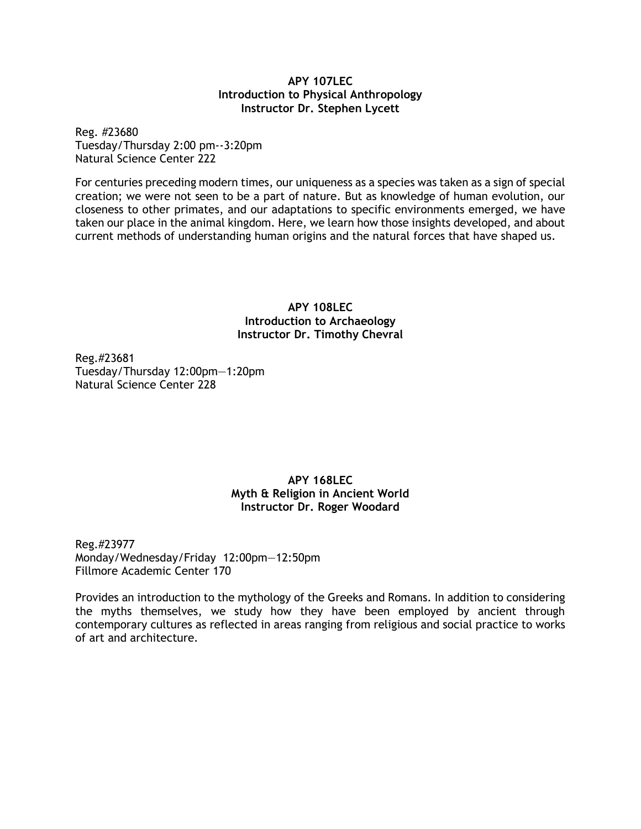#### **APY 107LEC Introduction to Physical Anthropology Instructor Dr. Stephen Lycett**

Reg. #23680 Tuesday/Thursday 2:00 pm--3:20pm Natural Science Center 222

For centuries preceding modern times, our uniqueness as a species was taken as a sign of special creation; we were not seen to be a part of nature. But as knowledge of human evolution, our closeness to other primates, and our adaptations to specific environments emerged, we have taken our place in the animal kingdom. Here, we learn how those insights developed, and about current methods of understanding human origins and the natural forces that have shaped us.

> **APY 108LEC Introduction to Archaeology Instructor Dr. Timothy Chevral**

Reg.#23681 Tuesday/Thursday 12:00pm—1:20pm Natural Science Center 228

## **APY 168LEC Myth & Religion in Ancient World Instructor Dr. Roger Woodard**

Reg.#23977 Monday/Wednesday/Friday 12:00pm—12:50pm Fillmore Academic Center 170

Provides an introduction to the mythology of the Greeks and Romans. In addition to considering the myths themselves, we study how they have been employed by ancient through contemporary cultures as reflected in areas ranging from religious and social practice to works of art and architecture.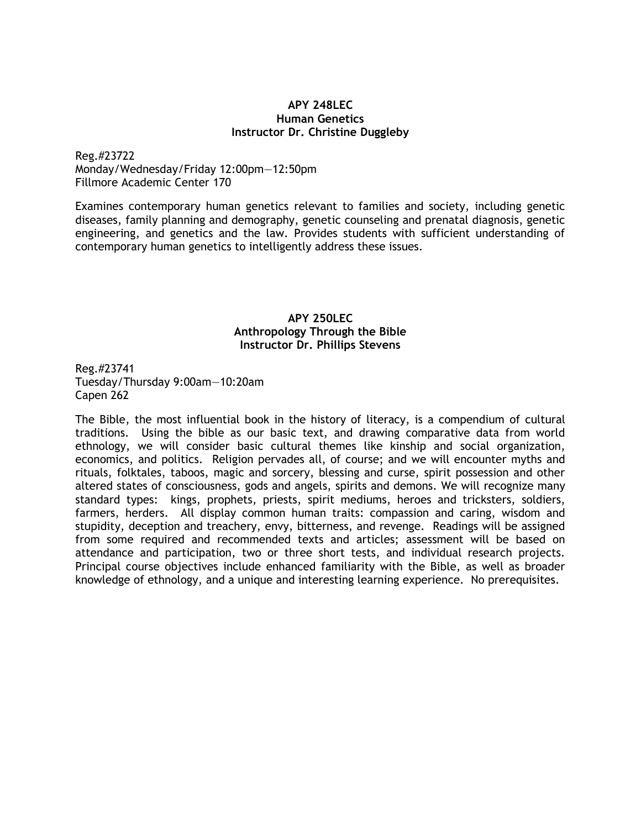#### **APY 248LEC Human Genetics Instructor Dr. Christine Duggleby**

Reg.#23722

Monday/Wednesday/Friday 12:00pm—12:50pm Fillmore Academic Center 170

Examines contemporary human genetics relevant to families and society, including genetic diseases, family planning and demography, genetic counseling and prenatal diagnosis, genetic engineering, and genetics and the law. Provides students with sufficient understanding of contemporary human genetics to intelligently address these issues.

## **APY 250LEC Anthropology Through the Bible Instructor Dr. Phillips Stevens**

Reg.#23741 Tuesday/Thursday 9:00am—10:20am Capen 262

The Bible, the most influential book in the history of literacy, is a compendium of cultural traditions. Using the bible as our basic text, and drawing comparative data from world ethnology, we will consider basic cultural themes like kinship and social organization, economics, and politics. Religion pervades all, of course; and we will encounter myths and rituals, folktales, taboos, magic and sorcery, blessing and curse, spirit possession and other altered states of consciousness, gods and angels, spirits and demons. We will recognize many standard types: kings, prophets, priests, spirit mediums, heroes and tricksters, soldiers, farmers, herders. All display common human traits: compassion and caring, wisdom and stupidity, deception and treachery, envy, bitterness, and revenge. Readings will be assigned from some required and recommended texts and articles; assessment will be based on attendance and participation, two or three short tests, and individual research projects. Principal course objectives include enhanced familiarity with the Bible, as well as broader knowledge of ethnology, and a unique and interesting learning experience. No prerequisites.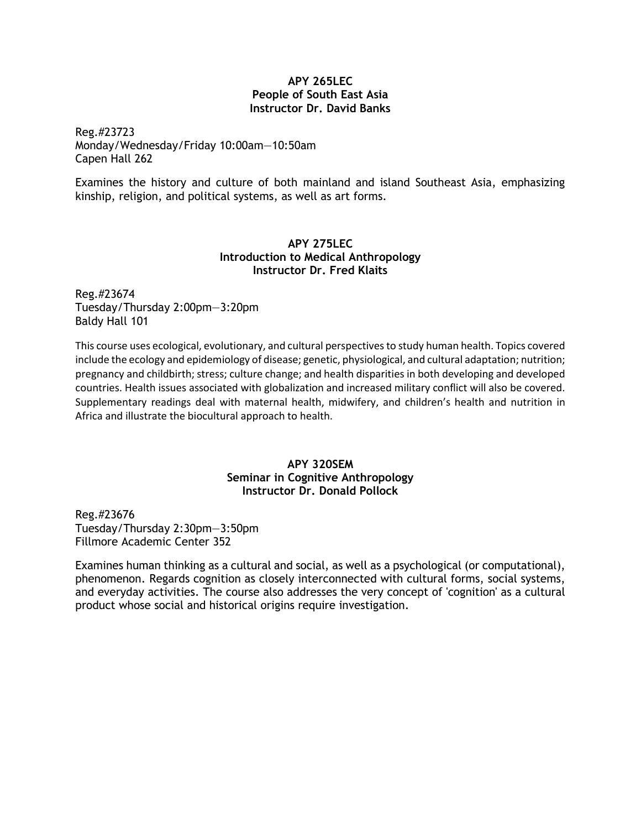#### **APY 265LEC People of South East Asia Instructor Dr. David Banks**

Reg.#23723 Monday/Wednesday/Friday 10:00am—10:50am Capen Hall 262

Examines the history and culture of both mainland and island Southeast Asia, emphasizing kinship, religion, and political systems, as well as art forms.

## **APY 275LEC Introduction to Medical Anthropology Instructor Dr. Fred Klaits**

Reg.#23674 Tuesday/Thursday 2:00pm—3:20pm Baldy Hall 101

This course uses ecological, evolutionary, and cultural perspectives to study human health. Topics covered include the ecology and epidemiology of disease; genetic, physiological, and cultural adaptation; nutrition; pregnancy and childbirth; stress; culture change; and health disparities in both developing and developed countries. Health issues associated with globalization and increased military conflict will also be covered. Supplementary readings deal with maternal health, midwifery, and children's health and nutrition in Africa and illustrate the biocultural approach to health.

## **APY 320SEM Seminar in Cognitive Anthropology Instructor Dr. Donald Pollock**

Reg.#23676 Tuesday/Thursday 2:30pm—3:50pm Fillmore Academic Center 352

Examines human thinking as a cultural and social, as well as a psychological (or computational), phenomenon. Regards cognition as closely interconnected with cultural forms, social systems, and everyday activities. The course also addresses the very concept of 'cognition' as a cultural product whose social and historical origins require investigation.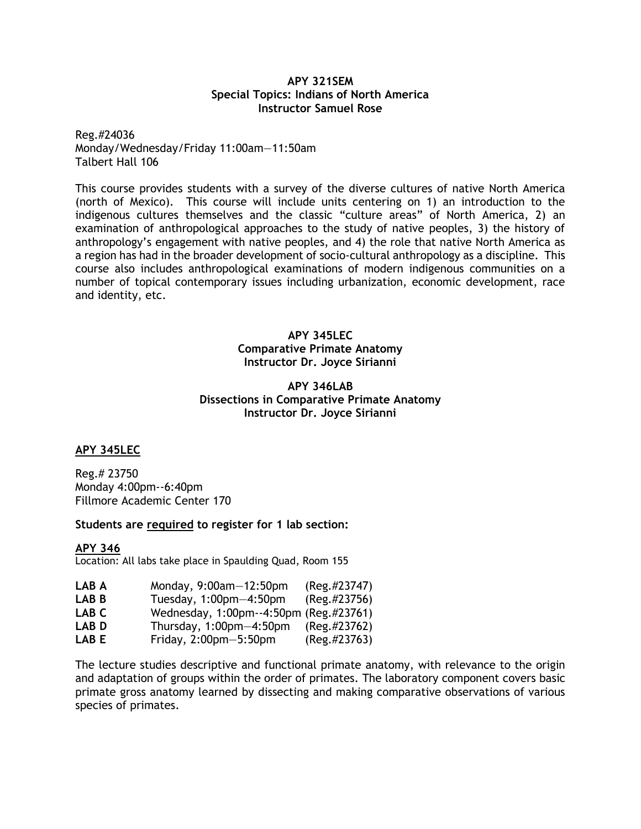#### **APY 321SEM Special Topics: Indians of North America Instructor Samuel Rose**

Reg.#24036 Monday/Wednesday/Friday 11:00am—11:50am Talbert Hall 106

This course provides students with a survey of the diverse cultures of native North America (north of Mexico). This course will include units centering on 1) an introduction to the indigenous cultures themselves and the classic "culture areas" of North America, 2) an examination of anthropological approaches to the study of native peoples, 3) the history of anthropology's engagement with native peoples, and 4) the role that native North America as a region has had in the broader development of socio-cultural anthropology as a discipline. This course also includes anthropological examinations of modern indigenous communities on a number of topical contemporary issues including urbanization, economic development, race and identity, etc.

## **APY 345LEC Comparative Primate Anatomy Instructor Dr. Joyce Sirianni**

## **APY 346LAB Dissections in Comparative Primate Anatomy Instructor Dr. Joyce Sirianni**

## **APY 345LEC**

Reg.# 23750 Monday 4:00pm--6:40pm Fillmore Academic Center 170

**Students are required to register for 1 lab section:**

**APY 346** Location: All labs take place in Spaulding Quad, Room 155

| LAB A | Monday, 9:00am-12:50pm                 | $(Reg. \#23747)$ |
|-------|----------------------------------------|------------------|
| LAB B | Tuesday, $1:00$ pm $-4:50$ pm          | (Reg. #23756)    |
| LAB C | Wednesday, 1:00pm--4:50pm (Reg.#23761) |                  |
| LAB D | Thursday, $1:00$ pm $-4:50$ pm         | $(Reg. \#23762)$ |
| LAB E | Friday, $2:00$ pm $-5:50$ pm           | $(Reg. \#23763)$ |

The lecture studies descriptive and functional primate anatomy, with relevance to the origin and adaptation of groups within the order of primates. The laboratory component covers basic primate gross anatomy learned by dissecting and making comparative observations of various species of primates.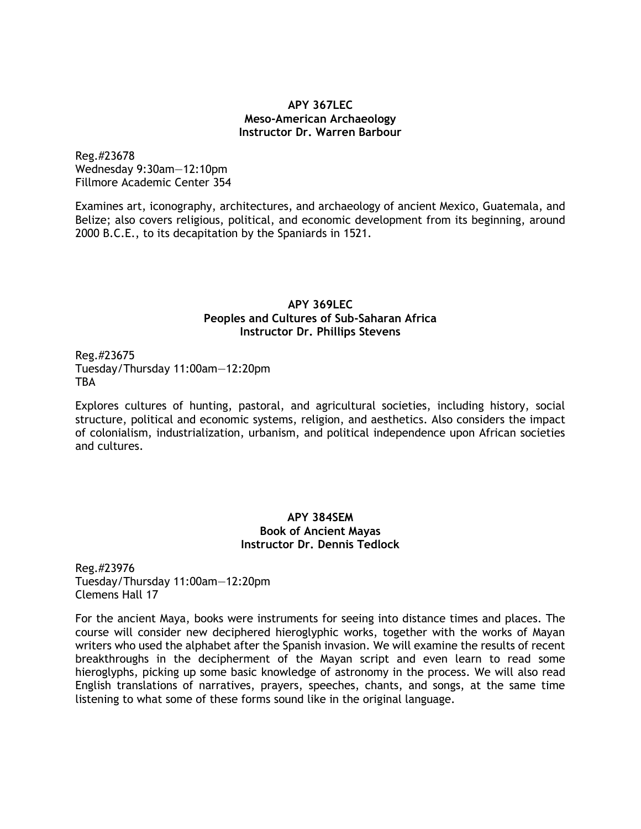#### **APY 367LEC Meso-American Archaeology Instructor Dr. Warren Barbour**

Reg.#23678 Wednesday 9:30am—12:10pm Fillmore Academic Center 354

Examines art, iconography, architectures, and archaeology of ancient Mexico, Guatemala, and Belize; also covers religious, political, and economic development from its beginning, around 2000 B.C.E., to its decapitation by the Spaniards in 1521.

### **APY 369LEC Peoples and Cultures of Sub-Saharan Africa Instructor Dr. Phillips Stevens**

Reg.#23675 Tuesday/Thursday 11:00am—12:20pm **TBA** 

Explores cultures of hunting, pastoral, and agricultural societies, including history, social structure, political and economic systems, religion, and aesthetics. Also considers the impact of colonialism, industrialization, urbanism, and political independence upon African societies and cultures.

#### **APY 384SEM Book of Ancient Mayas Instructor Dr. Dennis Tedlock**

Reg.#23976 Tuesday/Thursday 11:00am—12:20pm Clemens Hall 17

For the ancient Maya, books were instruments for seeing into distance times and places. The course will consider new deciphered hieroglyphic works, together with the works of Mayan writers who used the alphabet after the Spanish invasion. We will examine the results of recent breakthroughs in the decipherment of the Mayan script and even learn to read some hieroglyphs, picking up some basic knowledge of astronomy in the process. We will also read English translations of narratives, prayers, speeches, chants, and songs, at the same time listening to what some of these forms sound like in the original language.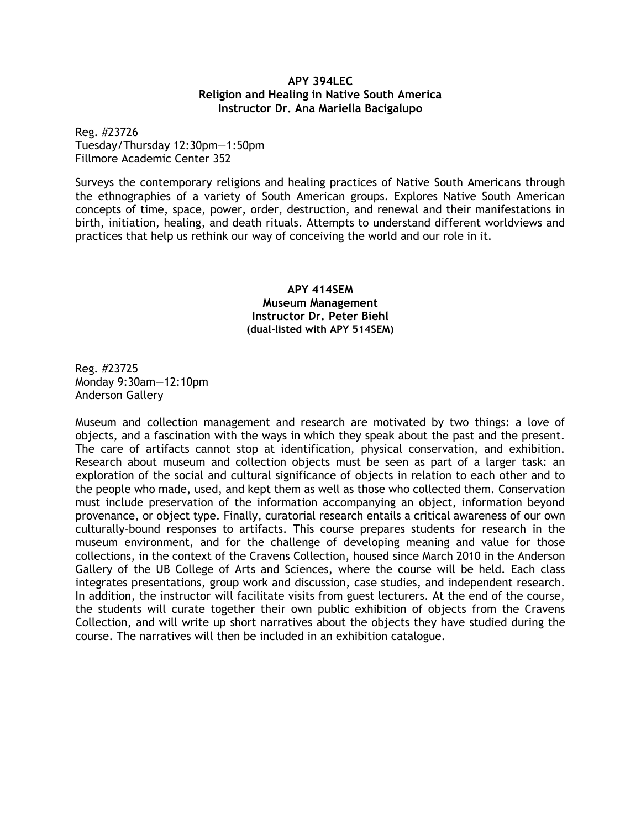#### **APY 394LEC Religion and Healing in Native South America Instructor Dr. Ana Mariella Bacigalupo**

Reg. #23726 Tuesday/Thursday 12:30pm—1:50pm Fillmore Academic Center 352

Surveys the contemporary religions and healing practices of Native South Americans through the ethnographies of a variety of South American groups. Explores Native South American concepts of time, space, power, order, destruction, and renewal and their manifestations in birth, initiation, healing, and death rituals. Attempts to understand different worldviews and practices that help us rethink our way of conceiving the world and our role in it.

#### **APY 414SEM Museum Management Instructor Dr. Peter Biehl (dual-listed with APY 514SEM)**

Reg. #23725 Monday 9:30am—12:10pm Anderson Gallery

Museum and collection management and research are motivated by two things: a love of objects, and a fascination with the ways in which they speak about the past and the present. The care of artifacts cannot stop at identification, physical conservation, and exhibition. Research about museum and collection objects must be seen as part of a larger task: an exploration of the social and cultural significance of objects in relation to each other and to the people who made, used, and kept them as well as those who collected them. Conservation must include preservation of the information accompanying an object, information beyond provenance, or object type. Finally, curatorial research entails a critical awareness of our own culturally-bound responses to artifacts. This course prepares students for research in the museum environment, and for the challenge of developing meaning and value for those collections, in the context of the Cravens Collection, housed since March 2010 in the Anderson Gallery of the UB College of Arts and Sciences, where the course will be held. Each class integrates presentations, group work and discussion, case studies, and independent research. In addition, the instructor will facilitate visits from guest lecturers. At the end of the course, the students will curate together their own public exhibition of objects from the Cravens Collection, and will write up short narratives about the objects they have studied during the course. The narratives will then be included in an exhibition catalogue.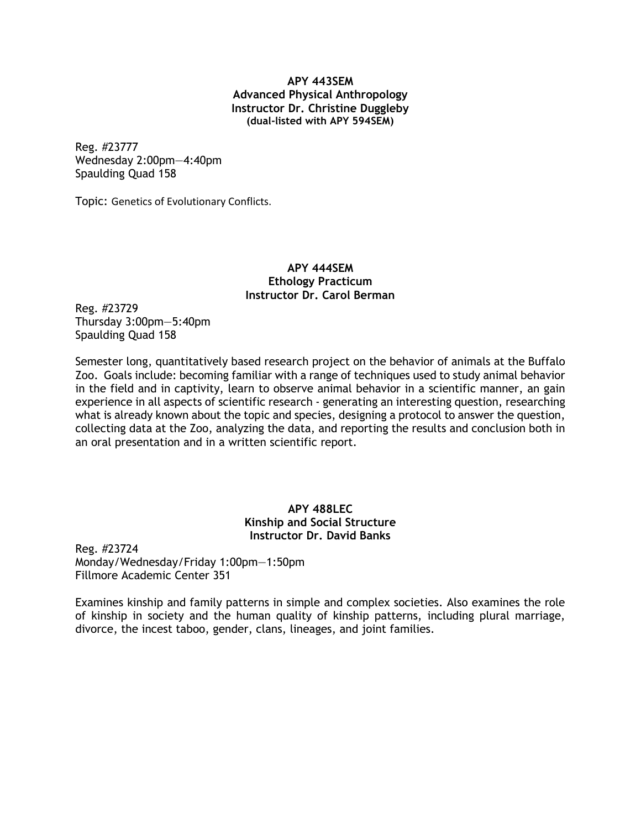#### **APY 443SEM Advanced Physical Anthropology Instructor Dr. Christine Duggleby (dual-listed with APY 594SEM)**

Reg. #23777 Wednesday 2:00pm—4:40pm Spaulding Quad 158

Topic: Genetics of Evolutionary Conflicts.

#### **APY 444SEM Ethology Practicum Instructor Dr. Carol Berman**

Reg. #23729 Thursday 3:00pm—5:40pm Spaulding Quad 158

Semester long, quantitatively based research project on the behavior of animals at the Buffalo Zoo. Goals include: becoming familiar with a range of techniques used to study animal behavior in the field and in captivity, learn to observe animal behavior in a scientific manner, an gain experience in all aspects of scientific research - generating an interesting question, researching what is already known about the topic and species, designing a protocol to answer the question, collecting data at the Zoo, analyzing the data, and reporting the results and conclusion both in an oral presentation and in a written scientific report.

## **APY 488LEC Kinship and Social Structure Instructor Dr. David Banks**

Reg. #23724 Monday/Wednesday/Friday 1:00pm—1:50pm Fillmore Academic Center 351

Examines kinship and family patterns in simple and complex societies. Also examines the role of kinship in society and the human quality of kinship patterns, including plural marriage, divorce, the incest taboo, gender, clans, lineages, and joint families.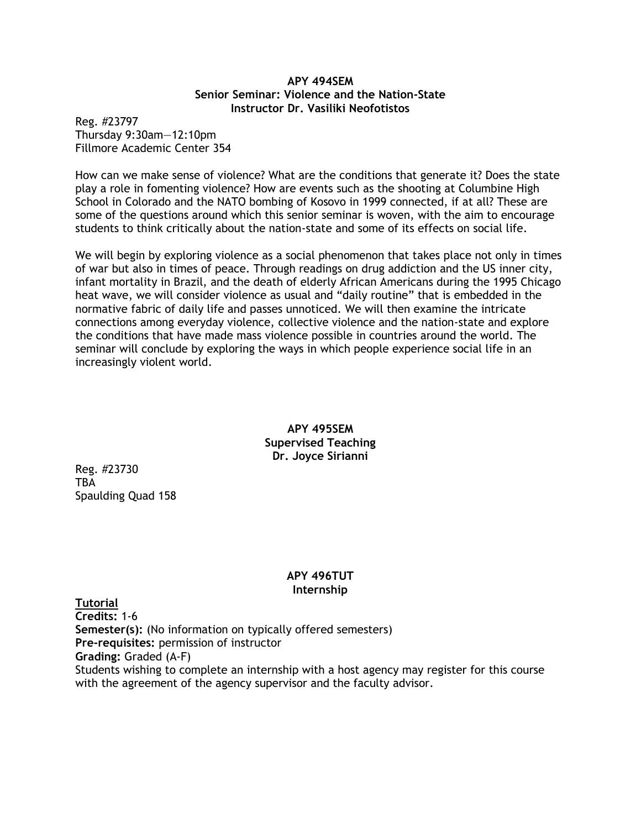#### **APY 494SEM Senior Seminar: Violence and the Nation-State Instructor Dr. Vasiliki Neofotistos**

Reg. #23797 Thursday 9:30am—12:10pm Fillmore Academic Center 354

How can we make sense of violence? What are the conditions that generate it? Does the state play a role in fomenting violence? How are events such as the shooting at Columbine High School in Colorado and the NATO bombing of Kosovo in 1999 connected, if at all? These are some of the questions around which this senior seminar is woven, with the aim to encourage students to think critically about the nation-state and some of its effects on social life.

We will begin by exploring violence as a social phenomenon that takes place not only in times of war but also in times of peace. Through readings on drug addiction and the US inner city, infant mortality in Brazil, and the death of elderly African Americans during the 1995 Chicago heat wave, we will consider violence as usual and "daily routine" that is embedded in the normative fabric of daily life and passes unnoticed. We will then examine the intricate connections among everyday violence, collective violence and the nation-state and explore the conditions that have made mass violence possible in countries around the world. The seminar will conclude by exploring the ways in which people experience social life in an increasingly violent world.

> **APY 495SEM Supervised Teaching Dr. Joyce Sirianni**

Reg. #23730 **TBA** Spaulding Quad 158

## **APY 496TUT Internship**

**Tutorial Credits:** 1-6 **Semester(s):** (No information on typically offered semesters) **Pre-requisites:** permission of instructor **Grading:** Graded (A-F) Students wishing to complete an internship with a host agency may register for this course with the agreement of the agency supervisor and the faculty advisor.